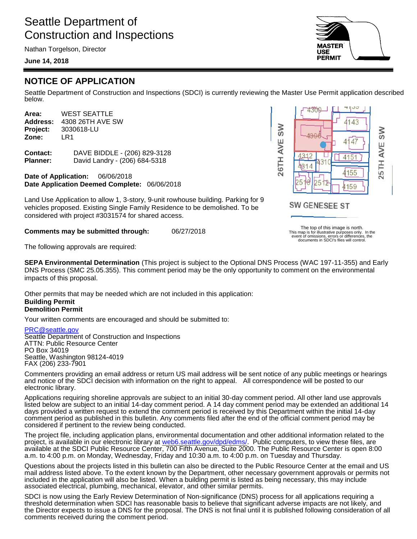# Seattle Department of Construction and Inspections

Nathan Torgelson, Director

### **June 14, 2018**



Seattle Department of Construction and Inspections (SDCI) is currently reviewing the Master Use Permit application described below.

**Area:** WEST SEATTLE **Address:** 4308 26TH AVE SW **Project:** 3030618-LU **Zone:** LR1

**Contact:** DAVE BIDDLE - (206) 829-3128 **Planner:** David Landry - (206) 684-5318

**Date of Application:** 06/06/2018 **Date Application Deemed Complete:** 06/06/2018

Land Use Application to allow 1, 3-story, 9-unit rowhouse building. Parking for 9 vehicles proposed. Existing Single Family Residence to be demolished. To be considered with project #3031574 for shared access.

**Comments may be submitted through:** 06/27/2018

The top of this image is north. This map is for illustrative purposes only. In the event of omissions, errors or differences, the documents in SDCI's files will control.

The following approvals are required:

**SEPA Environmental Determination** (This project is subject to the Optional DNS Process (WAC 197-11-355) and Early DNS Process (SMC 25.05.355). This comment period may be the only opportunity to comment on the environmental impacts of this proposal.

Other permits that may be needed which are not included in this application: **Building Permit Demolition Permit**

Your written comments are encouraged and should be submitted to:

#### [PRC@seattle.gov](mailto:PRC@seattle.gov)

Seattle Department of Construction and Inspections ATTN: Public Resource Center PO Box 34019 Seattle, Washington 98124-4019 FAX (206) 233-7901

Commenters providing an email address or return US mail address will be sent notice of any public meetings or hearings and notice of the SDCI decision with information on the right to appeal. All correspondence will be posted to our electronic library.

Applications requiring shoreline approvals are subject to an initial 30-day comment period. All other land use approvals listed below are subject to an initial 14-day comment period. A 14 day comment period may be extended an additional 14 days provided a written request to extend the comment period is received by this Department within the initial 14-day comment period as published in this bulletin. Any comments filed after the end of the official comment period may be considered if pertinent to the review being conducted.

The project file, including application plans, environmental documentation and other additional information related to the project, is available in our electronic library at [web6.seattle.gov/dpd/edms/.](http://web6.seattle.gov/dpd/edms/) Public computers, to view these files, are available at the SDCI Public Resource Center, 700 Fifth Avenue, Suite 2000. The Public Resource Center is open 8:00 a.m. to 4:00 p.m. on Monday, Wednesday, Friday and 10:30 a.m. to 4:00 p.m. on Tuesday and Thursday.

Questions about the projects listed in this bulletin can also be directed to the Public Resource Center at the email and US mail address listed above. To the extent known by the Department, other necessary government approvals or permits not included in the application will also be listed. When a building permit is listed as being necessary, this may include associated electrical, plumbing, mechanical, elevator, and other similar permits.

SDCI is now using the Early Review Determination of Non-significance (DNS) process for all applications requiring a threshold determination when SDCI has reasonable basis to believe that significant adverse impacts are not likely, and the Director expects to issue a DNS for the proposal. The DNS is not final until it is published following consideration of all comments received during the comment period.